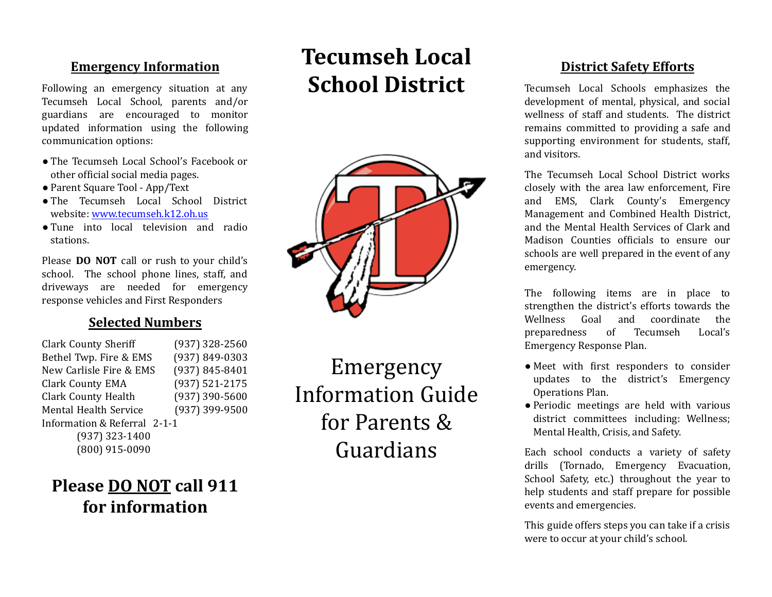### **Emergency Information**

Following an emergency situation at any Tecumseh Local School, parents and/or guardians are encouraged to monitor updated information using the following communication options:

- The Tecumseh Local School's Facebook or other oficial social media pages.
- Parent Square Tool App/Text
- The Tecumseh Local School District website: [www.tecumseh.k12.oh.us](http://www.tecumseh.k12.oh.us/)
- Tune into local television and radio stations.

Please **DO NOT** call or rush to your child's school. The school phone lines, staff, and driveways are needed for emergency response vehicles and First Responders

#### **Selected Numbers**

Clark County Sheriff (937) 328-2560 Bethel Twp. Fire & EMS (937) 849-0303 New Carlisle Fire & EMS (937) 845-8401 Clark County EMA (937) 521-2175 Clark County Health (937) 390-5600 Mental Health Service (937) 399-9500 Information & Referral 2-1-1 (937) 323-1400 (800) 915-0090

Emergency Information Guide for Parents & Guardians

# **Tecumseh Local School District**



### **District Safety Efforts**

Tecumseh Local Schools emphasizes the development of mental, physical, and social wellness of staff and students. The district remains committed to providing a safe and supporting environment for students, staff, and visitors.

The Tecumseh Local School District works closely with the area law enforcement, Fire and EMS, Clark County's Emergency Management and Combined Health District, and the Mental Health Services of Clark and Madison Counties oficials to ensure our schools are well prepared in the event of any emergency.

The following items are in place to strengthen the district's efforts towards the Wellness Goal and coordinate the preparedness of Tecumseh Local's Emergency Response Plan.

- Meet with first responders to consider updates to the district's Emergency Operations Plan.
- Periodic meetings are held with various district committees including: Wellness; Mental Health, Crisis, and Safety.

Each school conducts a variety of safety drills (Tornado, Emergency Evacuation, School Safety, etc.) throughout the year to help students and staff prepare for possible events and emergencies.

This guide offers steps you can take if a crisis were to occur at your child's school.

# **Please DO NOT** call 911 **for information**